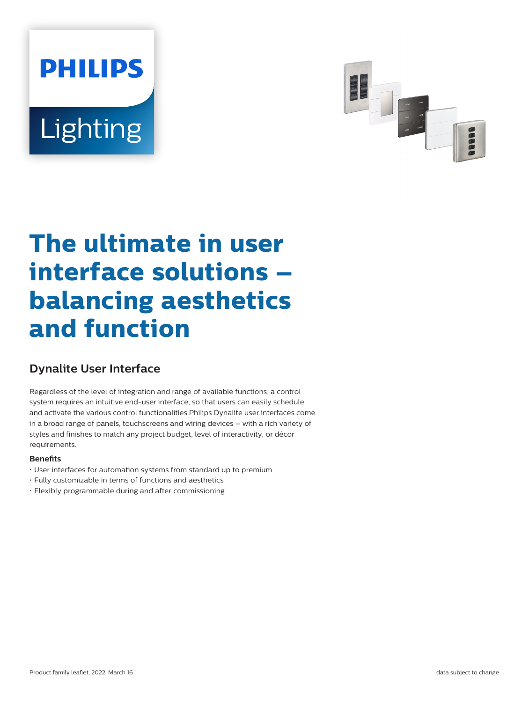# **PHILIPS** Lighting



# **The ultimate in user interface solutions – balancing aesthetics and function**

# **Dynalite User Interface**

Regardless of the level of integration and range of available functions, a control system requires an intuitive end-user interface, so that users can easily schedule and activate the various control functionalities.Philips Dynalite user interfaces come in a broad range of panels, touchscreens and wiring devices – with a rich variety of styles and finishes to match any project budget, level of interactivity, or décor requirements.

#### **Benefits**

- User interfaces for automation systems from standard up to premium
- Fully customizable in terms of functions and aesthetics
- Flexibly programmable during and after commissioning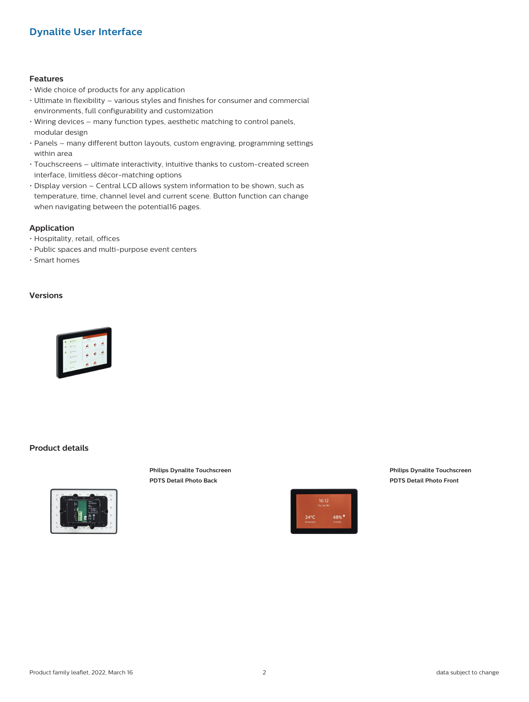### **Dynalite User Interface**

#### **Features**

- Wide choice of products for any application
- Ultimate in flexibility various styles and finishes for consumer and commercial environments, full configurability and customization
- Wiring devices many function types, aesthetic matching to control panels, modular design
- Panels many different button layouts, custom engraving, programming settings within area
- Touchscreens ultimate interactivity, intuitive thanks to custom-created screen interface, limitless décor-matching options
- Display version Central LCD allows system information to be shown, such as temperature, time, channel level and current scene. Button function can change when navigating between the potential16 pages.

#### **Application**

- Hospitality, retail, offices
- Public spaces and multi-purpose event centers
- Smart homes

#### **Versions**



#### **Product details**



**Philips Dynalite Touchscreen PDTS Detail Photo Back**



**Philips Dynalite Touchscreen PDTS Detail Photo Front**